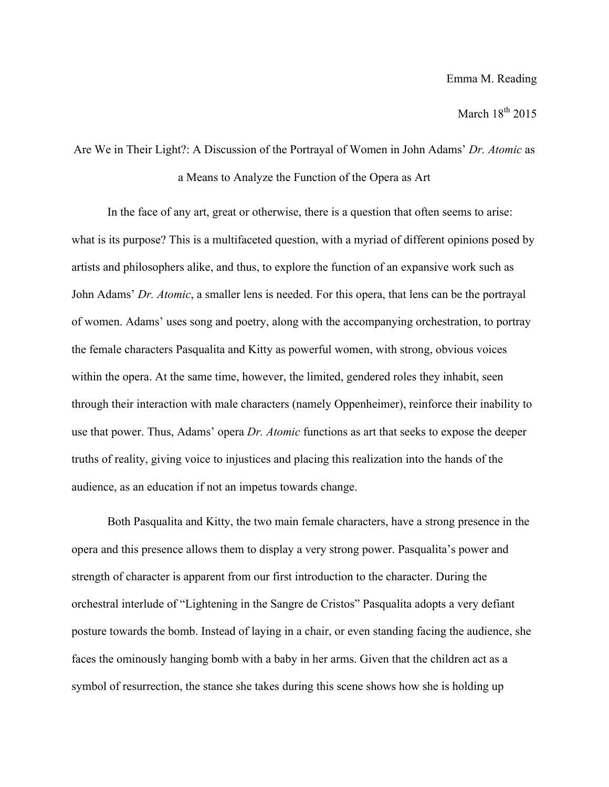## March  $18^{th}$  2015

Are We in Their Light?: A Discussion of the Portrayal of Women in John Adams' *Dr. Atomic* as a Means to Analyze the Function of the Opera as Art

In the face of any art, great or otherwise, there is a question that often seems to arise: what is its purpose? This is a multifaceted question, with a myriad of different opinions posed by artists and philosophers alike, and thus, to explore the function of an expansive work such as John Adams' *Dr. Atomic*, a smaller lens is needed. For this opera, that lens can be the portrayal of women. Adams' uses song and poetry, along with the accompanying orchestration, to portray the female characters Pasqualita and Kitty as powerful women, with strong, obvious voices within the opera. At the same time, however, the limited, gendered roles they inhabit, seen through their interaction with male characters (namely Oppenheimer), reinforce their inability to use that power. Thus, Adams' opera *Dr. Atomic* functions as art that seeks to expose the deeper truths of reality, giving voice to injustices and placing this realization into the hands of the audience, as an education if not an impetus towards change.

Both Pasqualita and Kitty, the two main female characters, have a strong presence in the opera and this presence allows them to display a very strong power. Pasqualita's power and strength of character is apparent from our first introduction to the character. During the orchestral interlude of "Lightening in the Sangre de Cristos" Pasqualita adopts a very defiant posture towards the bomb. Instead of laying in a chair, or even standing facing the audience, she faces the ominously hanging bomb with a baby in her arms. Given that the children act as a symbol of resurrection, the stance she takes during this scene shows how she is holding up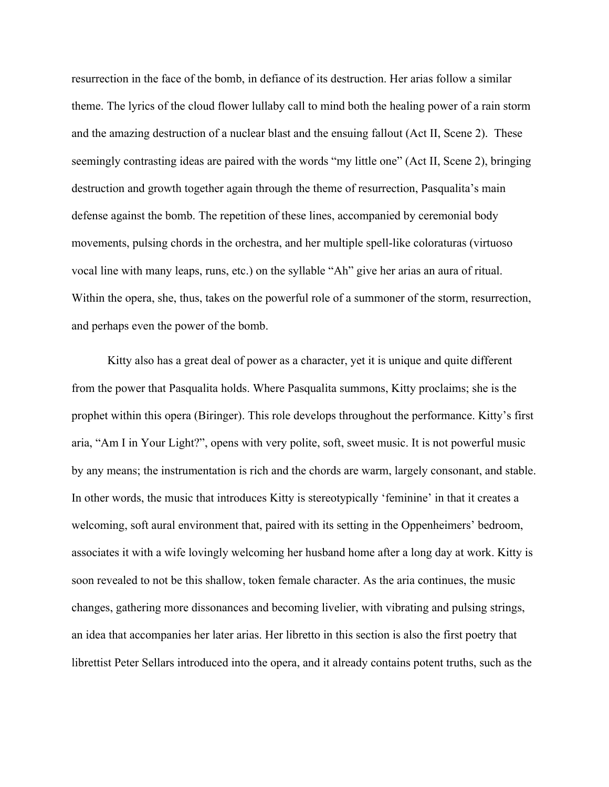resurrection in the face of the bomb, in defiance of its destruction. Her arias follow a similar theme. The lyrics of the cloud flower lullaby call to mind both the healing power of a rain storm and the amazing destruction of a nuclear blast and the ensuing fallout (Act II, Scene 2). These seemingly contrasting ideas are paired with the words "my little one" (Act II, Scene 2), bringing destruction and growth together again through the theme of resurrection, Pasqualita's main defense against the bomb. The repetition of these lines, accompanied by ceremonial body movements, pulsing chords in the orchestra, and her multiple spell-like coloraturas (virtuoso vocal line with many leaps, runs, etc.) on the syllable "Ah" give her arias an aura of ritual. Within the opera, she, thus, takes on the powerful role of a summoner of the storm, resurrection, and perhaps even the power of the bomb.

Kitty also has a great deal of power as a character, yet it is unique and quite different from the power that Pasqualita holds. Where Pasqualita summons, Kitty proclaims; she is the prophet within this opera (Biringer). This role develops throughout the performance. Kitty's first aria, "Am I in Your Light?", opens with very polite, soft, sweet music. It is not powerful music by any means; the instrumentation is rich and the chords are warm, largely consonant, and stable. In other words, the music that introduces Kitty is stereotypically 'feminine' in that it creates a welcoming, soft aural environment that, paired with its setting in the Oppenheimers' bedroom, associates it with a wife lovingly welcoming her husband home after a long day at work. Kitty is soon revealed to not be this shallow, token female character. As the aria continues, the music changes, gathering more dissonances and becoming livelier, with vibrating and pulsing strings, an idea that accompanies her later arias. Her libretto in this section is also the first poetry that librettist Peter Sellars introduced into the opera, and it already contains potent truths, such as the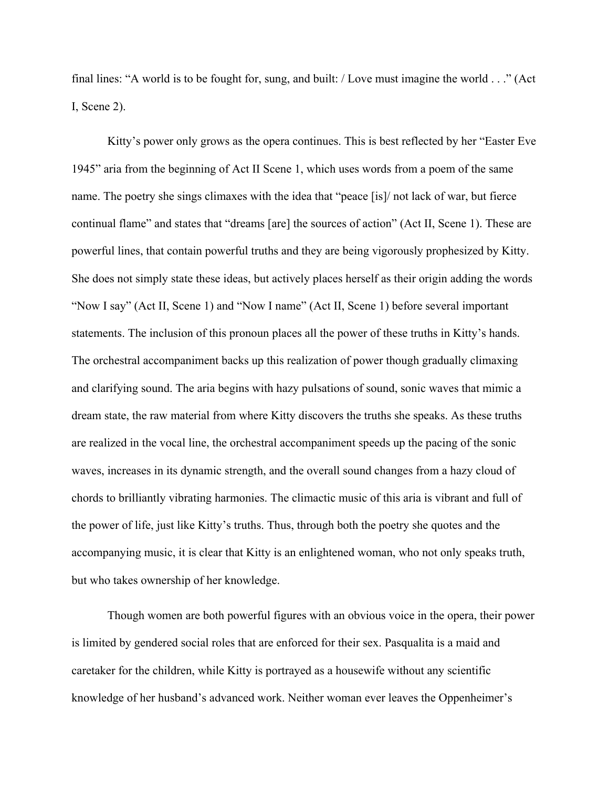final lines: "A world is to be fought for, sung, and built: / Love must imagine the world . . ." (Act I, Scene 2).

Kitty's power only grows as the opera continues. This is best reflected by her "Easter Eve 1945" aria from the beginning of Act II Scene 1, which uses words from a poem of the same name. The poetry she sings climaxes with the idea that "peace [is]/ not lack of war, but fierce continual flame" and states that "dreams [are] the sources of action" (Act II, Scene 1). These are powerful lines, that contain powerful truths and they are being vigorously prophesized by Kitty. She does not simply state these ideas, but actively places herself as their origin adding the words "Now I say" (Act II, Scene 1) and "Now I name" (Act II, Scene 1) before several important statements. The inclusion of this pronoun places all the power of these truths in Kitty's hands. The orchestral accompaniment backs up this realization of power though gradually climaxing and clarifying sound. The aria begins with hazy pulsations of sound, sonic waves that mimic a dream state, the raw material from where Kitty discovers the truths she speaks. As these truths are realized in the vocal line, the orchestral accompaniment speeds up the pacing of the sonic waves, increases in its dynamic strength, and the overall sound changes from a hazy cloud of chords to brilliantly vibrating harmonies. The climactic music of this aria is vibrant and full of the power of life, just like Kitty's truths. Thus, through both the poetry she quotes and the accompanying music, it is clear that Kitty is an enlightened woman, who not only speaks truth, but who takes ownership of her knowledge.

Though women are both powerful figures with an obvious voice in the opera, their power is limited by gendered social roles that are enforced for their sex. Pasqualita is a maid and caretaker for the children, while Kitty is portrayed as a housewife without any scientific knowledge of her husband's advanced work. Neither woman ever leaves the Oppenheimer's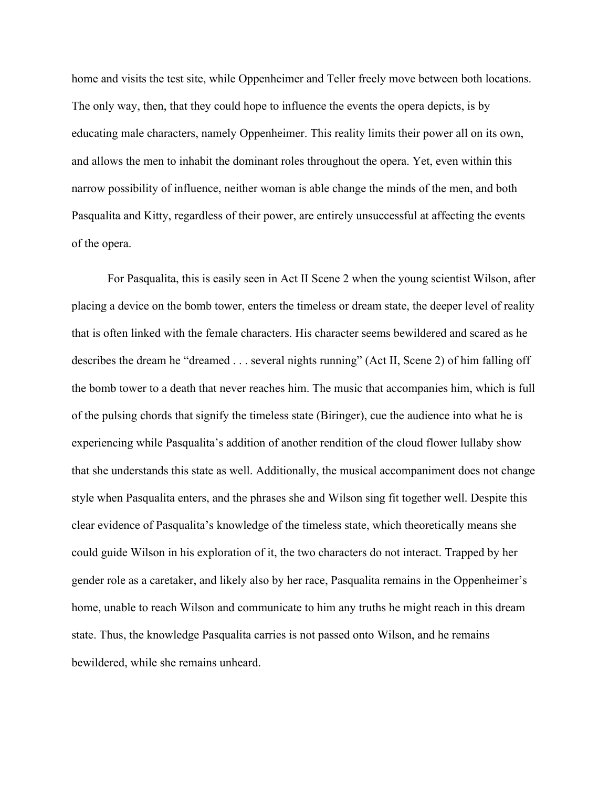home and visits the test site, while Oppenheimer and Teller freely move between both locations. The only way, then, that they could hope to influence the events the opera depicts, is by educating male characters, namely Oppenheimer. This reality limits their power all on its own, and allows the men to inhabit the dominant roles throughout the opera. Yet, even within this narrow possibility of influence, neither woman is able change the minds of the men, and both Pasqualita and Kitty, regardless of their power, are entirely unsuccessful at affecting the events of the opera.

For Pasqualita, this is easily seen in Act II Scene 2 when the young scientist Wilson, after placing a device on the bomb tower, enters the timeless or dream state, the deeper level of reality that is often linked with the female characters. His character seems bewildered and scared as he describes the dream he "dreamed . . . several nights running" (Act II, Scene 2) of him falling off the bomb tower to a death that never reaches him. The music that accompanies him, which is full of the pulsing chords that signify the timeless state (Biringer), cue the audience into what he is experiencing while Pasqualita's addition of another rendition of the cloud flower lullaby show that she understands this state as well. Additionally, the musical accompaniment does not change style when Pasqualita enters, and the phrases she and Wilson sing fit together well. Despite this clear evidence of Pasqualita's knowledge of the timeless state, which theoretically means she could guide Wilson in his exploration of it, the two characters do not interact. Trapped by her gender role as a caretaker, and likely also by her race, Pasqualita remains in the Oppenheimer's home, unable to reach Wilson and communicate to him any truths he might reach in this dream state. Thus, the knowledge Pasqualita carries is not passed onto Wilson, and he remains bewildered, while she remains unheard.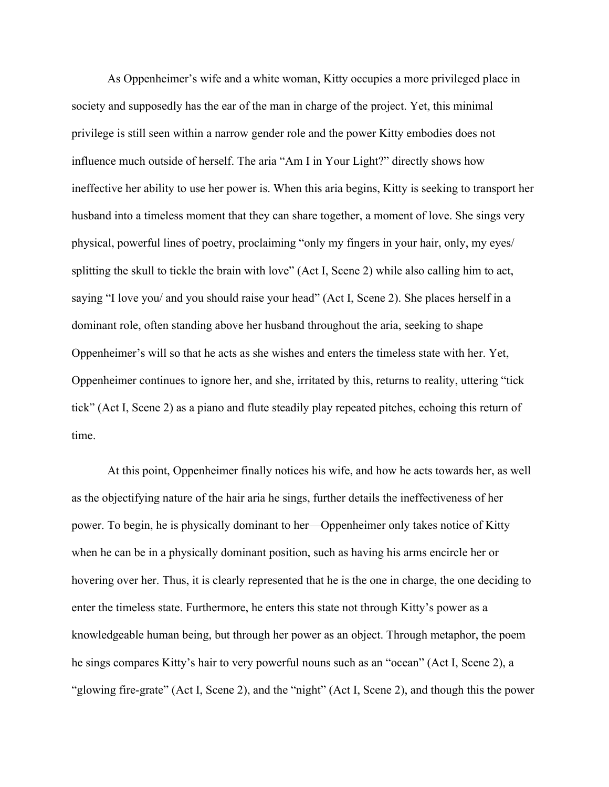As Oppenheimer's wife and a white woman, Kitty occupies a more privileged place in society and supposedly has the ear of the man in charge of the project. Yet, this minimal privilege is still seen within a narrow gender role and the power Kitty embodies does not influence much outside of herself. The aria "Am I in Your Light?" directly shows how ineffective her ability to use her power is. When this aria begins, Kitty is seeking to transport her husband into a timeless moment that they can share together, a moment of love. She sings very physical, powerful lines of poetry, proclaiming "only my fingers in your hair, only, my eyes/ splitting the skull to tickle the brain with love" (Act I, Scene 2) while also calling him to act, saying "I love you/ and you should raise your head" (Act I, Scene 2). She places herself in a dominant role, often standing above her husband throughout the aria, seeking to shape Oppenheimer's will so that he acts as she wishes and enters the timeless state with her. Yet, Oppenheimer continues to ignore her, and she, irritated by this, returns to reality, uttering "tick tick" (Act I, Scene 2) as a piano and flute steadily play repeated pitches, echoing this return of time.

At this point, Oppenheimer finally notices his wife, and how he acts towards her, as well as the objectifying nature of the hair aria he sings, further details the ineffectiveness of her power. To begin, he is physically dominant to her—Oppenheimer only takes notice of Kitty when he can be in a physically dominant position, such as having his arms encircle her or hovering over her. Thus, it is clearly represented that he is the one in charge, the one deciding to enter the timeless state. Furthermore, he enters this state not through Kitty's power as a knowledgeable human being, but through her power as an object. Through metaphor, the poem he sings compares Kitty's hair to very powerful nouns such as an "ocean" (Act I, Scene 2), a "glowing fire-grate" (Act I, Scene 2), and the "night" (Act I, Scene 2), and though this the power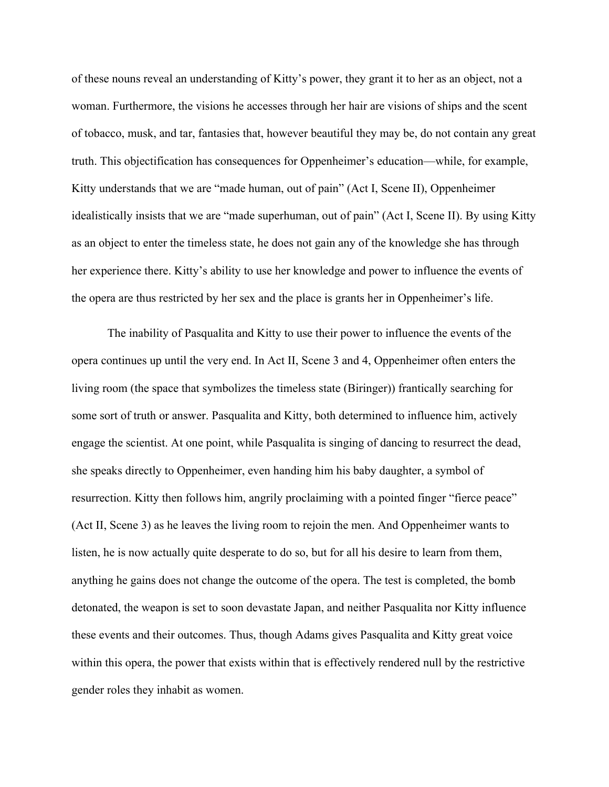of these nouns reveal an understanding of Kitty's power, they grant it to her as an object, not a woman. Furthermore, the visions he accesses through her hair are visions of ships and the scent of tobacco, musk, and tar, fantasies that, however beautiful they may be, do not contain any great truth. This objectification has consequences for Oppenheimer's education—while, for example, Kitty understands that we are "made human, out of pain" (Act I, Scene II), Oppenheimer idealistically insists that we are "made superhuman, out of pain" (Act I, Scene II). By using Kitty as an object to enter the timeless state, he does not gain any of the knowledge she has through her experience there. Kitty's ability to use her knowledge and power to influence the events of the opera are thus restricted by her sex and the place is grants her in Oppenheimer's life.

The inability of Pasqualita and Kitty to use their power to influence the events of the opera continues up until the very end. In Act II, Scene 3 and 4, Oppenheimer often enters the living room (the space that symbolizes the timeless state (Biringer)) frantically searching for some sort of truth or answer. Pasqualita and Kitty, both determined to influence him, actively engage the scientist. At one point, while Pasqualita is singing of dancing to resurrect the dead, she speaks directly to Oppenheimer, even handing him his baby daughter, a symbol of resurrection. Kitty then follows him, angrily proclaiming with a pointed finger "fierce peace" (Act II, Scene 3) as he leaves the living room to rejoin the men. And Oppenheimer wants to listen, he is now actually quite desperate to do so, but for all his desire to learn from them, anything he gains does not change the outcome of the opera. The test is completed, the bomb detonated, the weapon is set to soon devastate Japan, and neither Pasqualita nor Kitty influence these events and their outcomes. Thus, though Adams gives Pasqualita and Kitty great voice within this opera, the power that exists within that is effectively rendered null by the restrictive gender roles they inhabit as women.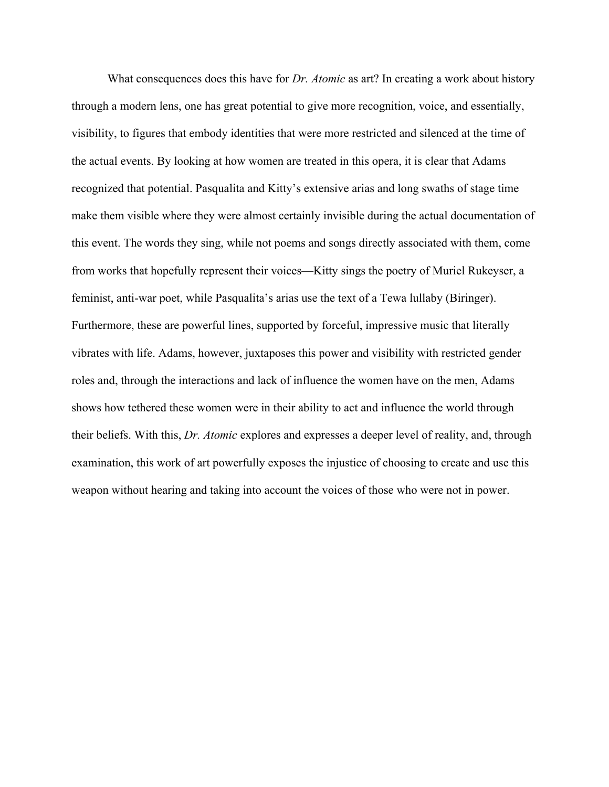What consequences does this have for *Dr. Atomic* as art? In creating a work about history through a modern lens, one has great potential to give more recognition, voice, and essentially, visibility, to figures that embody identities that were more restricted and silenced at the time of the actual events. By looking at how women are treated in this opera, it is clear that Adams recognized that potential. Pasqualita and Kitty's extensive arias and long swaths of stage time make them visible where they were almost certainly invisible during the actual documentation of this event. The words they sing, while not poems and songs directly associated with them, come from works that hopefully represent their voices—Kitty sings the poetry of Muriel Rukeyser, a feminist, anti-war poet, while Pasqualita's arias use the text of a Tewa lullaby (Biringer). Furthermore, these are powerful lines, supported by forceful, impressive music that literally vibrates with life. Adams, however, juxtaposes this power and visibility with restricted gender roles and, through the interactions and lack of influence the women have on the men, Adams shows how tethered these women were in their ability to act and influence the world through their beliefs. With this, *Dr. Atomic* explores and expresses a deeper level of reality, and, through examination, this work of art powerfully exposes the injustice of choosing to create and use this weapon without hearing and taking into account the voices of those who were not in power.